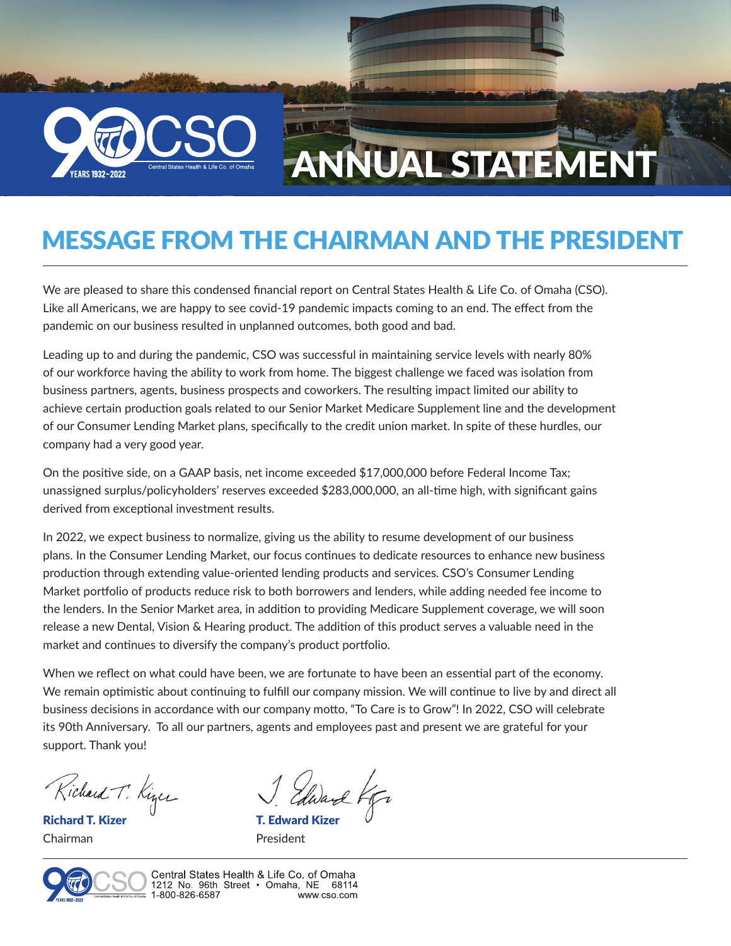

## MESSAGE FROM THE CHAIRMAN AND THE PRESIDENT

We are pleased to share this condensed financial report on Central States Health & Life Co. of Omaha (CSO). Like all Americans, we are happy to see covid-19 pandemic impacts coming to an end. The effect from the pandemic on our business resulted in unplanned outcomes, both good and bad.

Leading up to and during the pandemic, CSO was successful in maintaining service levels with nearly 80% of our workforce having the ability to work from home. The biggest challenge we faced was isolation from business partners, agents, business prospects and coworkers. The resulting impact limited our ability to achieve certain production goals related to our Senior Market Medicare Supplement line and the development of our Consumer Lending Market plans, specifically to the credit union market. In spite of these hurdles, our company had a very good year.

On the positive side, on a GAAP basis, net income exceeded \$17,000,000 before Federal Income Tax; unassigned surplus/policyholders' reserves exceeded \$283,000,000, an all-time high, with significant gains derived from exceptional investment results.

In 2022, we expect business to normalize, giving us the ability to resume development of our business plans. In the Consumer Lending Market, our focus continues to dedicate resources to enhance new business production through extending value-oriented lending products and services. CSO's Consumer Lending Market portfolio of products reduce risk to both borrowers and lenders, while adding needed fee income to the lenders. In the Senior Market area, in addition to providing Medicare Supplement coverage, we will soon release a new Dental, Vision & Hearing product. The addition of this product serves a valuable need in the market and continues to diversify the company's product portfolio.

When we reflect on what could have been, we are fortunate to have been an essential part of the economy. We remain optimistic about continuing to fulfill our company mission. We will continue to live by and direct all business decisions in accordance with our company motto, "To Care is to Grow"! In 2022, CSO will celebrate its 90th Anniversary. To all our partners, agents and employees past and present we are grateful for your support. Thank you!

Richard T. Kines

Richard T. Kizer Chairman

**T. Edward Kizer** President



Central States Health & Life Co. of Omaha 1212 No. 96th Street • Omaha, NE 68114 1-800-826-6587 www.cso.com